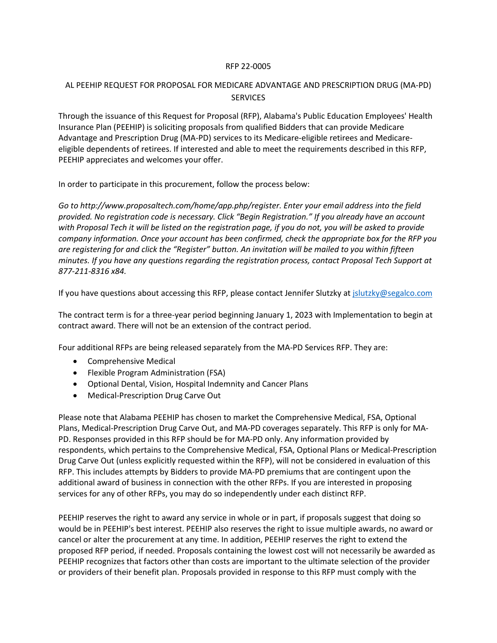## RFP 22-0005

## AL PEEHIP REQUEST FOR PROPOSAL FOR MEDICARE ADVANTAGE AND PRESCRIPTION DRUG (MA-PD) **SERVICES**

Through the issuance of this Request for Proposal (RFP), Alabama's Public Education Employees' Health Insurance Plan (PEEHIP) is soliciting proposals from qualified Bidders that can provide Medicare Advantage and Prescription Drug (MA-PD) services to its Medicare-eligible retirees and Medicareeligible dependents of retirees. If interested and able to meet the requirements described in this RFP, PEEHIP appreciates and welcomes your offer.

In order to participate in this procurement, follow the process below:

*Go to http://www.proposaltech.com/home/app.php/register. Enter your email address into the field provided. No registration code is necessary. Click "Begin Registration." If you already have an account with Proposal Tech it will be listed on the registration page, if you do not, you will be asked to provide company information. Once your account has been confirmed, check the appropriate box for the RFP you are registering for and click the "Register" button. An invitation will be mailed to you within fifteen minutes. If you have any questions regarding the registration process, contact Proposal Tech Support at 877-211-8316 x84.*

If you have questions about accessing this RFP, please contact Jennifer Slutzky a[t jslutzky@segalco.com](mailto:jslutzky@segalco.com)

The contract term is for a three-year period beginning January 1, 2023 with Implementation to begin at contract award. There will not be an extension of the contract period.

Four additional RFPs are being released separately from the MA-PD Services RFP. They are:

- Comprehensive Medical
- Flexible Program Administration (FSA)
- Optional Dental, Vision, Hospital Indemnity and Cancer Plans
- Medical-Prescription Drug Carve Out

Please note that Alabama PEEHIP has chosen to market the Comprehensive Medical, FSA, Optional Plans, Medical-Prescription Drug Carve Out, and MA-PD coverages separately. This RFP is only for MA-PD. Responses provided in this RFP should be for MA-PD only. Any information provided by respondents, which pertains to the Comprehensive Medical, FSA, Optional Plans or Medical-Prescription Drug Carve Out (unless explicitly requested within the RFP), will not be considered in evaluation of this RFP. This includes attempts by Bidders to provide MA-PD premiums that are contingent upon the additional award of business in connection with the other RFPs. If you are interested in proposing services for any of other RFPs, you may do so independently under each distinct RFP.

PEEHIP reserves the right to award any service in whole or in part, if proposals suggest that doing so would be in PEEHIP's best interest. PEEHIP also reserves the right to issue multiple awards, no award or cancel or alter the procurement at any time. In addition, PEEHIP reserves the right to extend the proposed RFP period, if needed. Proposals containing the lowest cost will not necessarily be awarded as PEEHIP recognizes that factors other than costs are important to the ultimate selection of the provider or providers of their benefit plan. Proposals provided in response to this RFP must comply with the